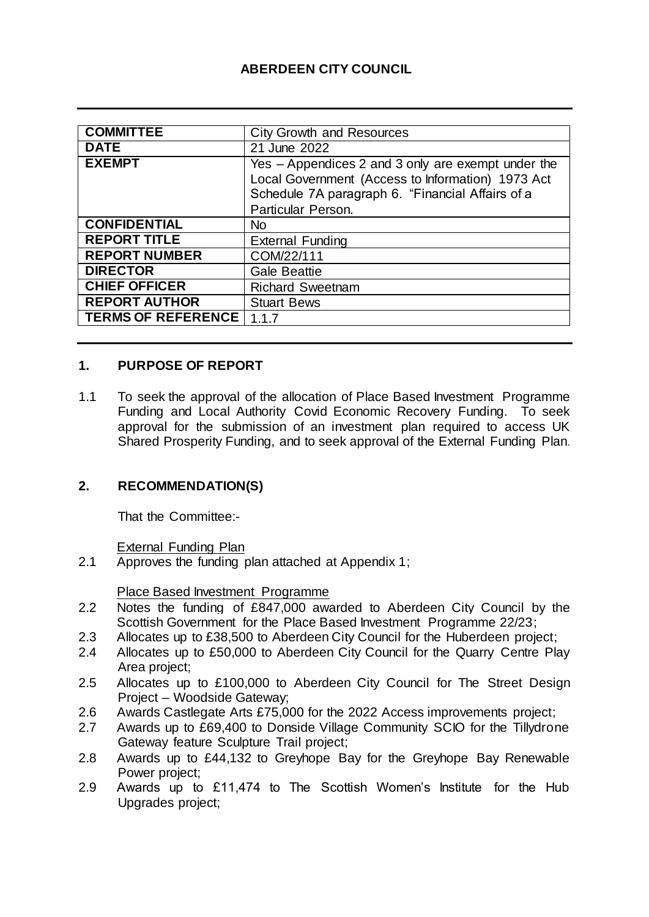## **ABERDEEN CITY COUNCIL**

| <b>COMMITTEE</b>          | <b>City Growth and Resources</b>                   |
|---------------------------|----------------------------------------------------|
| <b>DATE</b>               | 21 June 2022                                       |
| <b>EXEMPT</b>             | Yes – Appendices 2 and 3 only are exempt under the |
|                           | Local Government (Access to Information) 1973 Act  |
|                           | Schedule 7A paragraph 6. "Financial Affairs of a   |
|                           | Particular Person.                                 |
| <b>CONFIDENTIAL</b>       | N <sub>o</sub>                                     |
| <b>REPORT TITLE</b>       | <b>External Funding</b>                            |
| <b>REPORT NUMBER</b>      | COM/22/111                                         |
| <b>DIRECTOR</b>           | <b>Gale Beattie</b>                                |
| <b>CHIEF OFFICER</b>      | <b>Richard Sweetnam</b>                            |
| <b>REPORT AUTHOR</b>      | <b>Stuart Bews</b>                                 |
| <b>TERMS OF REFERENCE</b> | 1.1.7                                              |

## **1. PURPOSE OF REPORT**

1.1 To seek the approval of the allocation of Place Based Investment Programme Funding and Local Authority Covid Economic Recovery Funding. To seek approval for the submission of an investment plan required to access UK Shared Prosperity Funding, and to seek approval of the External Funding Plan.

#### **2. RECOMMENDATION(S)**

That the Committee:-

External Funding Plan

2.1 Approves the funding plan attached at Appendix 1;

Place Based Investment Programme

- 2.2 Notes the funding of £847,000 awarded to Aberdeen City Council by the Scottish Government for the Place Based Investment Programme 22/23;
- 2.3 Allocates up to £38,500 to Aberdeen City Council for the Huberdeen project;
- 2.4 Allocates up to £50,000 to Aberdeen City Council for the Quarry Centre Play Area project;
- 2.5 Allocates up to £100,000 to Aberdeen City Council for The Street Design Project – Woodside Gateway;
- 2.6 Awards Castlegate Arts £75,000 for the 2022 Access improvements project;
- 2.7 Awards up to £69,400 to Donside Village Community SCIO for the Tillydrone Gateway feature Sculpture Trail project;
- 2.8 Awards up to £44,132 to Greyhope Bay for the Greyhope Bay Renewable Power project;
- 2.9 Awards up to £11,474 to The Scottish Women's Institute for the Hub Upgrades project;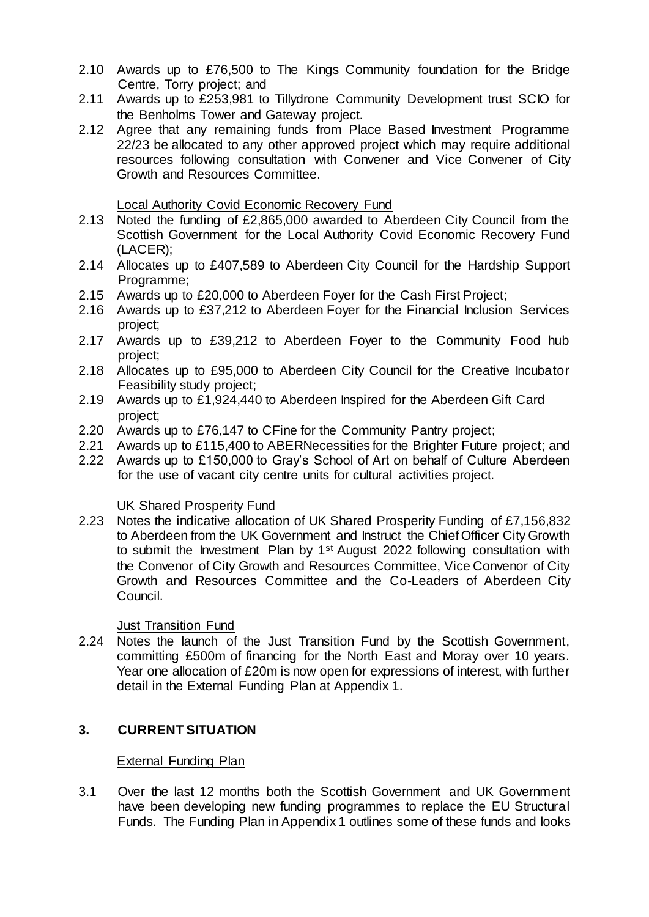- 2.10 Awards up to £76,500 to The Kings Community foundation for the Bridge Centre, Torry project; and
- 2.11 Awards up to £253,981 to Tillydrone Community Development trust SCIO for the Benholms Tower and Gateway project.
- 2.12 Agree that any remaining funds from Place Based Investment Programme 22/23 be allocated to any other approved project which may require additional resources following consultation with Convener and Vice Convener of City Growth and Resources Committee.

Local Authority Covid Economic Recovery Fund

- 2.13 Noted the funding of £2,865,000 awarded to Aberdeen City Council from the Scottish Government for the Local Authority Covid Economic Recovery Fund (LACER);
- 2.14 Allocates up to £407,589 to Aberdeen City Council for the Hardship Support Programme;
- 2.15 Awards up to £20,000 to Aberdeen Foyer for the Cash First Project;
- 2.16 Awards up to £37,212 to Aberdeen Foyer for the Financial Inclusion Services project;
- 2.17 Awards up to £39,212 to Aberdeen Foyer to the Community Food hub project;
- 2.18 Allocates up to £95,000 to Aberdeen City Council for the Creative Incubator Feasibility study project;
- 2.19 Awards up to £1,924,440 to Aberdeen Inspired for the Aberdeen Gift Card project;
- 2.20 Awards up to £76,147 to CFine for the Community Pantry project;
- 2.21 Awards up to £115,400 to ABERNecessities for the Brighter Future project; and
- 2.22 Awards up to £150,000 to Gray's School of Art on behalf of Culture Aberdeen for the use of vacant city centre units for cultural activities project.

#### UK Shared Prosperity Fund

2.23 Notes the indicative allocation of UK Shared Prosperity Funding of £7,156,832 to Aberdeen from the UK Government and Instruct the Chief Officer City Growth to submit the Investment Plan by 1<sup>st</sup> August 2022 following consultation with the Convenor of City Growth and Resources Committee, Vice Convenor of City Growth and Resources Committee and the Co-Leaders of Aberdeen City Council.

Just Transition Fund

2.24 Notes the launch of the Just Transition Fund by the Scottish Government, committing £500m of financing for the North East and Moray over 10 years. Year one allocation of £20m is now open for expressions of interest, with further detail in the External Funding Plan at Appendix 1.

## **3. CURRENT SITUATION**

#### External Funding Plan

3.1 Over the last 12 months both the Scottish Government and UK Government have been developing new funding programmes to replace the EU Structural Funds. The Funding Plan in Appendix 1 outlines some of these funds and looks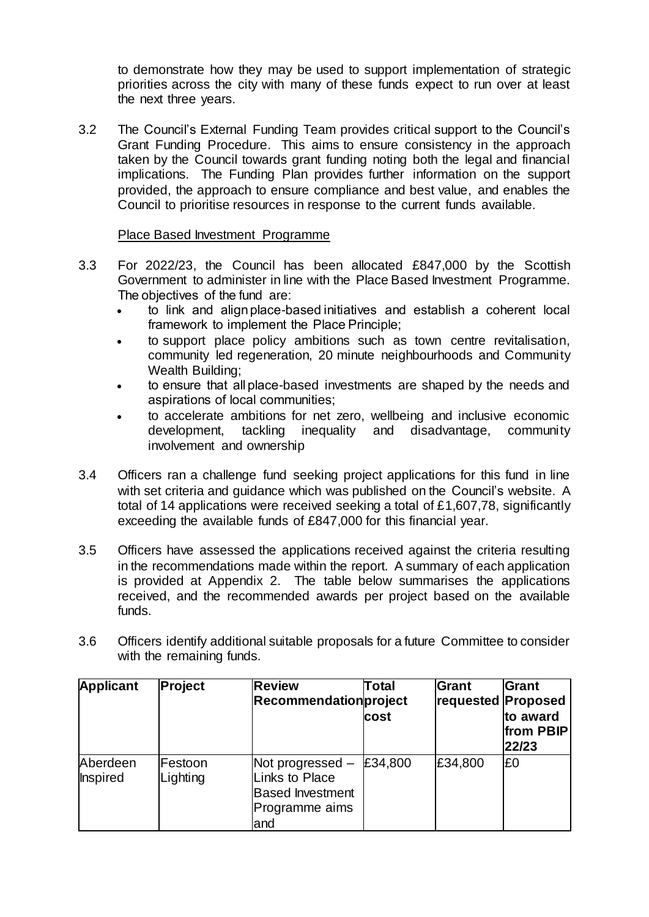to demonstrate how they may be used to support implementation of strategic priorities across the city with many of these funds expect to run over at least the next three years.

3.2 The Council's External Funding Team provides critical support to the Council's Grant Funding Procedure. This aims to ensure consistency in the approach taken by the Council towards grant funding noting both the legal and financial implications. The Funding Plan provides further information on the support provided, the approach to ensure compliance and best value, and enables the Council to prioritise resources in response to the current funds available.

#### Place Based Investment Programme

- 3.3 For 2022/23, the Council has been allocated £847,000 by the Scottish Government to administer in line with the Place Based Investment Programme. The objectives of the fund are:
	- to link and align place-based initiatives and establish a coherent local framework to implement the Place Principle;
	- to support place policy ambitions such as town centre revitalisation, community led regeneration, 20 minute neighbourhoods and Community Wealth Building;
	- to ensure that all place-based investments are shaped by the needs and aspirations of local communities;
	- to accelerate ambitions for net zero, wellbeing and inclusive economic development, tackling inequality and disadvantage, community involvement and ownership
- 3.4 Officers ran a challenge fund seeking project applications for this fund in line with set criteria and guidance which was published on the Council's website. A total of 14 applications were received seeking a total of £1,607,78, significantly exceeding the available funds of £847,000 for this financial year.
- 3.5 Officers have assessed the applications received against the criteria resulting in the recommendations made within the report. A summary of each application is provided at Appendix 2. The table below summarises the applications received, and the recommended awards per project based on the available funds.
- 3.6 Officers identify additional suitable proposals for a future Committee to consider with the remaining funds.

| <b>Applicant</b>            | <b>Project</b>      | <b>Review</b><br>Recommendationproject                                                  | Total<br><b>cost</b> | Grant<br>requested Proposed | Grant<br>to award<br>from PBIP<br>22/23 |
|-----------------------------|---------------------|-----------------------------------------------------------------------------------------|----------------------|-----------------------------|-----------------------------------------|
| Aberdeen<br><b>Inspired</b> | Festoon<br>Lighting | Not progressed –<br>Links to Place<br><b>Based Investment</b><br>Programme aims<br>land | £34,800              | £34,800                     | E0                                      |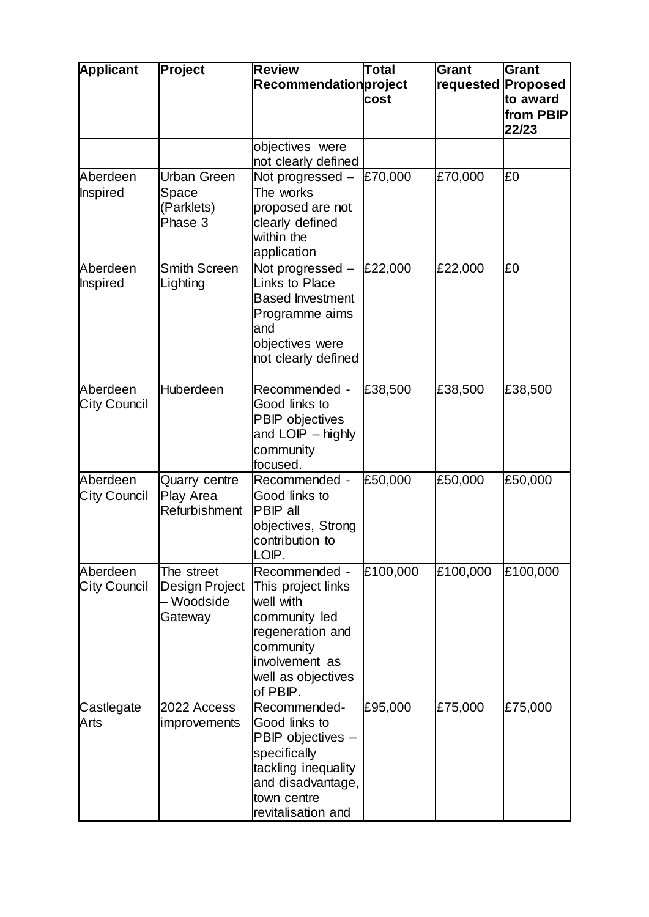| <b>Applicant</b>                | Project                                               | <b>Review</b><br>Recommendationproject                                                                                                                 | Total<br>cost | Grant<br>requested | Grant<br>Proposed<br>to award<br>from PBIP<br>22/23 |
|---------------------------------|-------------------------------------------------------|--------------------------------------------------------------------------------------------------------------------------------------------------------|---------------|--------------------|-----------------------------------------------------|
|                                 |                                                       | objectives were<br>not clearly defined                                                                                                                 |               |                    |                                                     |
| Aberdeen<br>Inspired            | <b>Urban Green</b><br>Space<br>(Parklets)<br>Phase 3  | Not progressed $-$ £70,000<br>The works<br>proposed are not<br>clearly defined<br>within the<br>application                                            |               | £70,000            | £0                                                  |
| Aberdeen<br>Inspired            | <b>Smith Screen</b><br>Lighting                       | Not progressed $-$ £22,000<br><b>Links to Place</b><br><b>Based Investment</b><br>Programme aims<br>and<br>objectives were<br>not clearly defined      |               | £22,000            | £0                                                  |
| Aberdeen<br><b>City Council</b> | Huberdeen                                             | Recommended -<br>Good links to<br>PBIP objectives<br>and LOIP - highly<br>community<br>focused.                                                        | £38,500       | £38,500            | £38,500                                             |
| Aberdeen<br><b>City Council</b> | <b>Quarry centre</b><br>Play Area<br>Refurbishment    | Recommended -<br>Good links to<br>PBIP all<br>objectives, Strong<br>contribution to<br>LOIP.                                                           | £50,000       | £50,000            | £50,000                                             |
| Aberdeen<br><b>City Council</b> | The street<br>Design Project<br>– Woodside<br>Gateway | Recommended -<br>This project links<br>well with<br>community led<br>regeneration and<br>community<br>involvement as<br>well as objectives<br>of PBIP. | £100,000      | £100,000           | £100,000                                            |
| Castlegate<br>Arts              | 2022 Access<br>improvements                           | Recommended-<br>Good links to<br>PBIP objectives -<br>specifically<br>tackling inequality<br>and disadvantage,<br>town centre<br>revitalisation and    | £95,000       | £75,000            | £75,000                                             |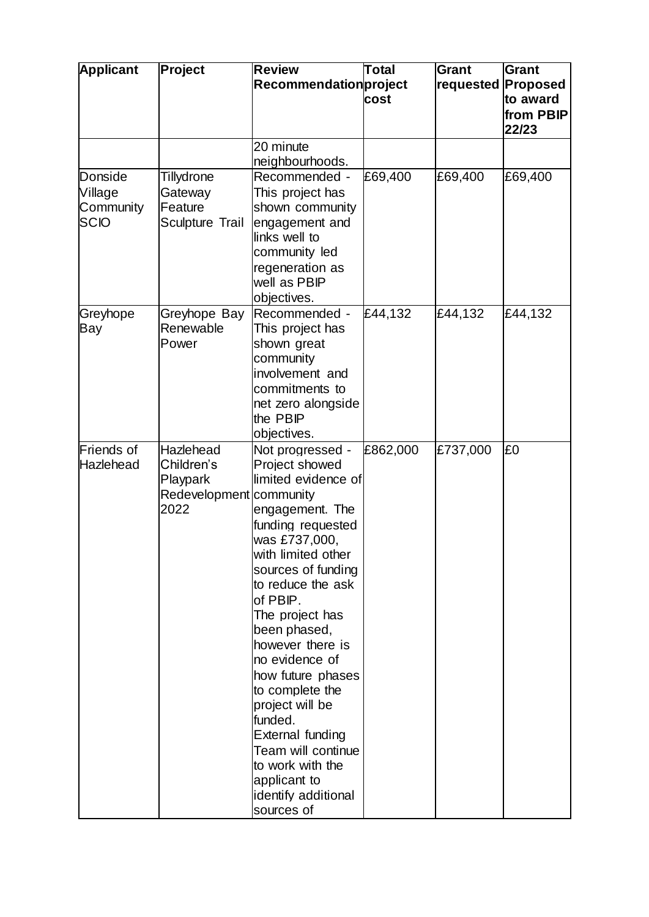| <b>Applicant</b>                               | Project                                                                | <b>Review</b><br>Recommendationproject                                                                                                                                                                                                                                                                                                                                                                                                                            | <b>Total</b><br>cost | Grant<br>requested | Grant<br>Proposed<br>to award<br>from PBIP<br>22/23 |
|------------------------------------------------|------------------------------------------------------------------------|-------------------------------------------------------------------------------------------------------------------------------------------------------------------------------------------------------------------------------------------------------------------------------------------------------------------------------------------------------------------------------------------------------------------------------------------------------------------|----------------------|--------------------|-----------------------------------------------------|
|                                                |                                                                        | 20 minute<br>neighbourhoods.                                                                                                                                                                                                                                                                                                                                                                                                                                      |                      |                    |                                                     |
| Donside<br>Village<br>Community<br><b>SCIO</b> | <b>Tillydrone</b><br>Gateway<br>Feature<br>Sculpture Trail             | Recommended -<br>This project has<br>shown community<br>engagement and<br>links well to<br>community led<br>regeneration as<br>well as PBIP<br>objectives.                                                                                                                                                                                                                                                                                                        | £69,400              | £69,400            | £69,400                                             |
| Greyhope<br>Bay                                | Greyhope Bay<br>Renewable<br>Power                                     | Recommended -<br>This project has<br>shown great<br>community<br>involvement and<br>commitments to<br>net zero alongside<br>the PBIP<br>objectives.                                                                                                                                                                                                                                                                                                               | £44,132              | £44,132            | £44,132                                             |
| Friends of<br>Hazlehead                        | Hazlehead<br>Children's<br>Playpark<br>Redevelopment community<br>2022 | Not progressed -<br>Project showed<br>limited evidence of<br>engagement. The<br>funding requested<br>was £737,000,<br>with limited other<br>sources of funding<br>to reduce the ask<br>of PBIP.<br>The project has<br>been phased,<br>however there is<br>no evidence of<br>how future phases<br>to complete the<br>project will be<br>funded.<br>External funding<br>Team will continue<br>to work with the<br>applicant to<br>identify additional<br>sources of | £862,000             | £737,000           | £0                                                  |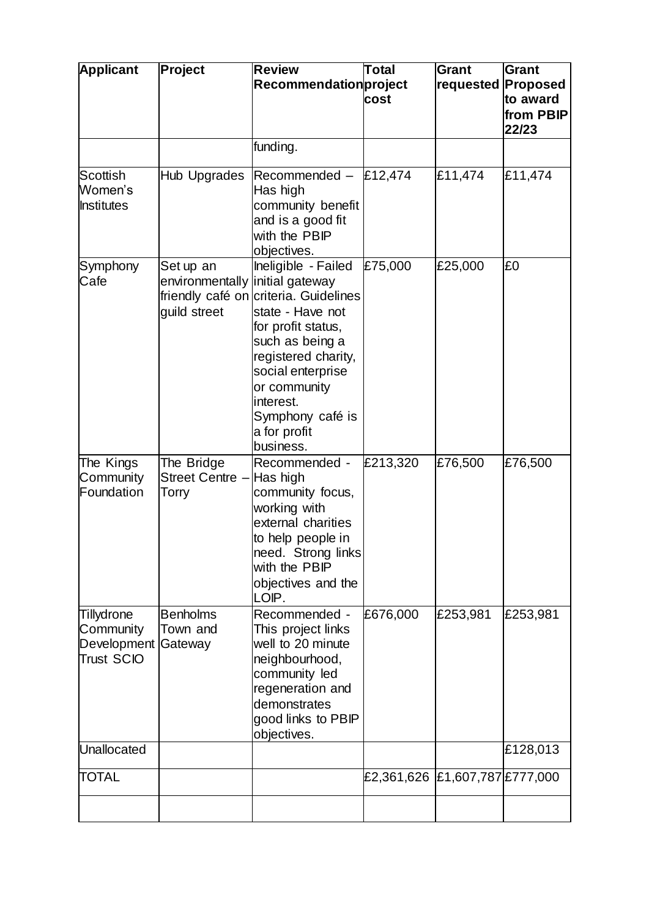| <b>Applicant</b>                                            | Project                                                      | <b>Review</b><br>Recommendation project                                                                                                                                                                                                             | Total<br>cost                  | <b>Grant</b><br>requested Proposed | <b>Grant</b><br>to award<br>from PBIP<br>22/23 |
|-------------------------------------------------------------|--------------------------------------------------------------|-----------------------------------------------------------------------------------------------------------------------------------------------------------------------------------------------------------------------------------------------------|--------------------------------|------------------------------------|------------------------------------------------|
|                                                             |                                                              | funding.                                                                                                                                                                                                                                            |                                |                                    |                                                |
| Scottish<br>Women's<br><b>Institutes</b>                    | Hub Upgrades                                                 | Recommended - $E12,474$<br>Has high<br>community benefit<br>and is a good fit<br>with the PBIP<br>objectives.                                                                                                                                       |                                | £11,474                            | £11,474                                        |
| Symphony<br>Cafe                                            | Set up an<br>environmentally initial gateway<br>guild street | Ineligible - Failed<br>friendly café on criteria. Guidelines<br>state - Have not<br>for profit status,<br>such as being a<br>registered charity,<br>social enterprise<br>or community<br>interest.<br>Symphony café is<br>a for profit<br>business. | £75,000                        | £25,000                            | £0                                             |
| The Kings<br>Community<br>Foundation                        | The Bridge<br>Street Centre -<br>Torry                       | Recommended -<br>Has high<br>community focus,<br>working with<br>external charities<br>to help people in<br> need. Strong links<br>with the PBIP<br>objectives and the<br>LOIP.                                                                     | £213,320                       | £76,500                            | £76,500                                        |
| Tillydrone<br>Community<br>Development<br><b>Trust SCIO</b> | <b>Benholms</b><br>Town and<br>Gateway                       | Recommended -<br>This project links<br>well to 20 minute<br>neighbourhood,<br>community led<br>regeneration and<br>demonstrates<br>good links to PBIP<br>objectives.                                                                                | £676,000                       | £253,981                           | £253,981                                       |
| Unallocated                                                 |                                                              |                                                                                                                                                                                                                                                     |                                |                                    | £128,013                                       |
| <b>TOTAL</b>                                                |                                                              |                                                                                                                                                                                                                                                     | £2,361,626 £1,607,787 £777,000 |                                    |                                                |
|                                                             |                                                              |                                                                                                                                                                                                                                                     |                                |                                    |                                                |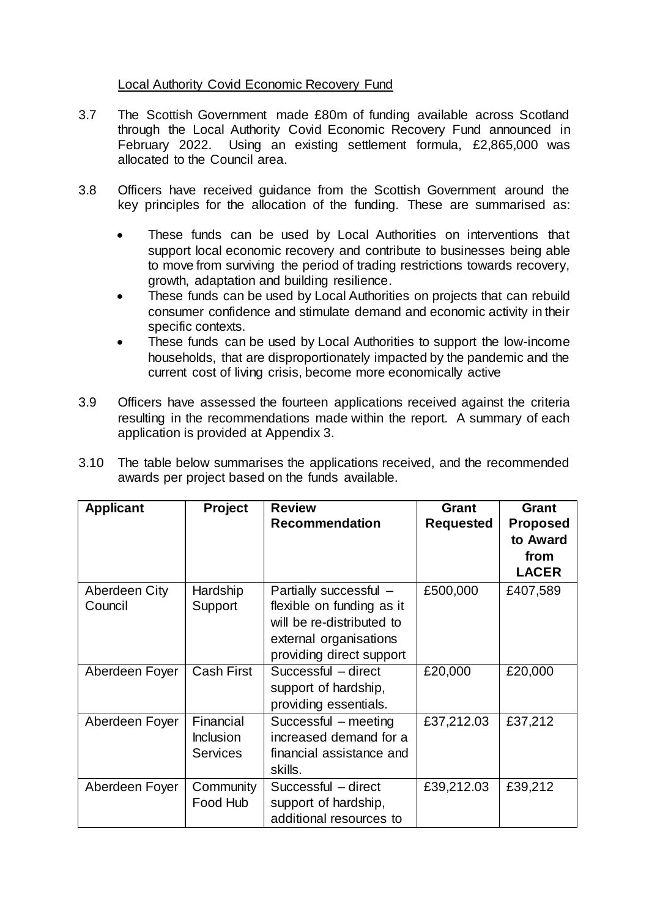#### Local Authority Covid Economic Recovery Fund

- 3.7 The Scottish Government made £80m of funding available across Scotland through the Local Authority Covid Economic Recovery Fund announced in February 2022. Using an existing settlement formula, £2,865,000 was allocated to the Council area.
- 3.8 Officers have received guidance from the Scottish Government around the key principles for the allocation of the funding. These are summarised as:
	- These funds can be used by Local Authorities on interventions that support local economic recovery and contribute to businesses being able to move from surviving the period of trading restrictions towards recovery, growth, adaptation and building resilience.
	- These funds can be used by Local Authorities on projects that can rebuild consumer confidence and stimulate demand and economic activity in their specific contexts.
	- These funds can be used by Local Authorities to support the low-income households, that are disproportionately impacted by the pandemic and the current cost of living crisis, become more economically active
- 3.9 Officers have assessed the fourteen applications received against the criteria resulting in the recommendations made within the report. A summary of each application is provided at Appendix 3.

| 3.10 The table below summarises the applications received, and the recommended |
|--------------------------------------------------------------------------------|
| awards per project based on the funds available.                               |

| <b>Applicant</b>         | Project                                          | <b>Review</b><br><b>Recommendation</b>                                                                                                 | Grant<br><b>Requested</b> | Grant<br><b>Proposed</b><br>to Award<br>from<br><b>LACER</b> |
|--------------------------|--------------------------------------------------|----------------------------------------------------------------------------------------------------------------------------------------|---------------------------|--------------------------------------------------------------|
| Aberdeen City<br>Council | Hardship<br>Support                              | Partially successful -<br>flexible on funding as it<br>will be re-distributed to<br>external organisations<br>providing direct support | £500,000                  | £407,589                                                     |
| Aberdeen Foyer           | <b>Cash First</b>                                | Successful - direct<br>support of hardship,<br>providing essentials.                                                                   | £20,000                   | £20,000                                                      |
| Aberdeen Foyer           | Financial<br><b>Inclusion</b><br><b>Services</b> | Successful - meeting<br>increased demand for a<br>financial assistance and<br>skills.                                                  | £37,212.03                | £37,212                                                      |
| Aberdeen Foyer           | Community<br>Food Hub                            | Successful - direct<br>support of hardship,<br>additional resources to                                                                 | £39,212.03                | £39,212                                                      |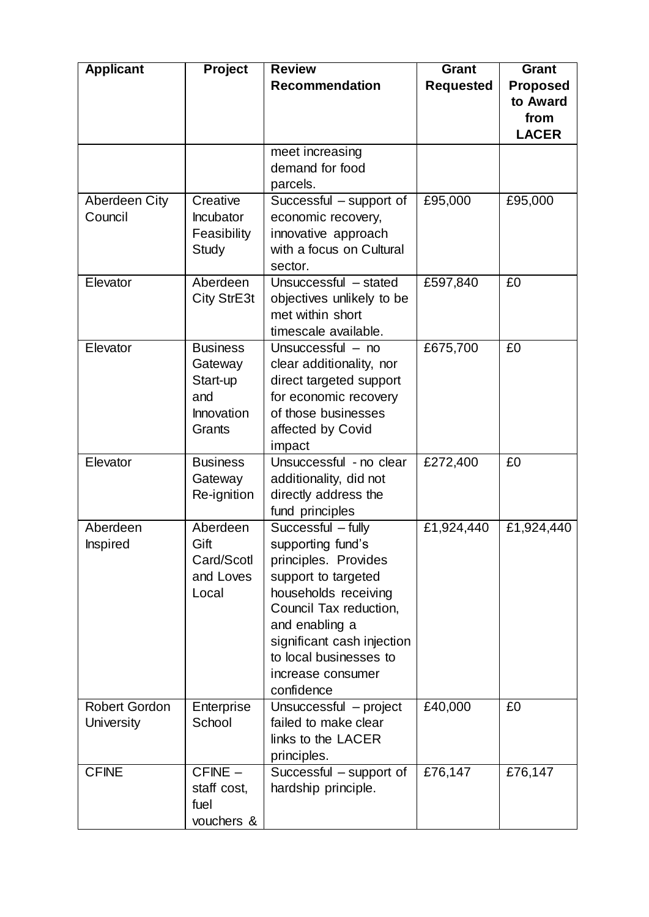| <b>Applicant</b>     | <b>Project</b>         | <b>Review</b>                                  | Grant            | Grant           |
|----------------------|------------------------|------------------------------------------------|------------------|-----------------|
|                      |                        | <b>Recommendation</b>                          | <b>Requested</b> | <b>Proposed</b> |
|                      |                        |                                                |                  | to Award        |
|                      |                        |                                                |                  | from            |
|                      |                        |                                                |                  | <b>LACER</b>    |
|                      |                        | meet increasing                                |                  |                 |
|                      |                        | demand for food                                |                  |                 |
|                      |                        | parcels.                                       |                  |                 |
| Aberdeen City        | Creative               | Successful – support of                        | £95,000          | £95,000         |
| Council              | <b>Incubator</b>       | economic recovery,                             |                  |                 |
|                      | Feasibility            | innovative approach                            |                  |                 |
|                      | Study                  | with a focus on Cultural                       |                  |                 |
|                      |                        | sector.                                        |                  |                 |
| Elevator             | Aberdeen               | Unsuccessful - stated                          | £597,840         | £0              |
|                      | City StrE3t            | objectives unlikely to be                      |                  |                 |
|                      |                        | met within short                               |                  |                 |
|                      |                        | timescale available.                           |                  |                 |
| Elevator             | <b>Business</b>        | Unsuccessful - no                              | £675,700         | £0              |
|                      | Gateway                | clear additionality, nor                       |                  |                 |
|                      | Start-up               | direct targeted support                        |                  |                 |
|                      | and                    | for economic recovery                          |                  |                 |
|                      | Innovation             | of those businesses                            |                  |                 |
|                      | Grants                 | affected by Covid                              |                  |                 |
|                      |                        | impact                                         |                  |                 |
| Elevator             | <b>Business</b>        | Unsuccessful - no clear                        | £272,400         | £0              |
|                      | Gateway<br>Re-ignition | additionality, did not<br>directly address the |                  |                 |
|                      |                        | fund principles                                |                  |                 |
| Aberdeen             | Aberdeen               | Successful - fully                             | £1,924,440       | £1,924,440      |
| <b>Inspired</b>      | Gift                   | supporting fund's                              |                  |                 |
|                      | Card/Scotl             | principles. Provides                           |                  |                 |
|                      | and Loves              | support to targeted                            |                  |                 |
|                      | Local                  | households receiving                           |                  |                 |
|                      |                        | Council Tax reduction,                         |                  |                 |
|                      |                        | and enabling a                                 |                  |                 |
|                      |                        | significant cash injection                     |                  |                 |
|                      |                        | to local businesses to                         |                  |                 |
|                      |                        | increase consumer                              |                  |                 |
|                      |                        | confidence                                     |                  |                 |
| <b>Robert Gordon</b> | Enterprise             | Unsuccessful - project                         | £40,000          | £0              |
| University           | School                 | failed to make clear                           |                  |                 |
|                      |                        | links to the LACER                             |                  |                 |
|                      |                        | principles.                                    |                  |                 |
| <b>CFINE</b>         | $CFINE -$              | Successful – support of                        | £76,147          | £76,147         |
|                      | staff cost,            | hardship principle.                            |                  |                 |
|                      | fuel                   |                                                |                  |                 |
|                      | vouchers &             |                                                |                  |                 |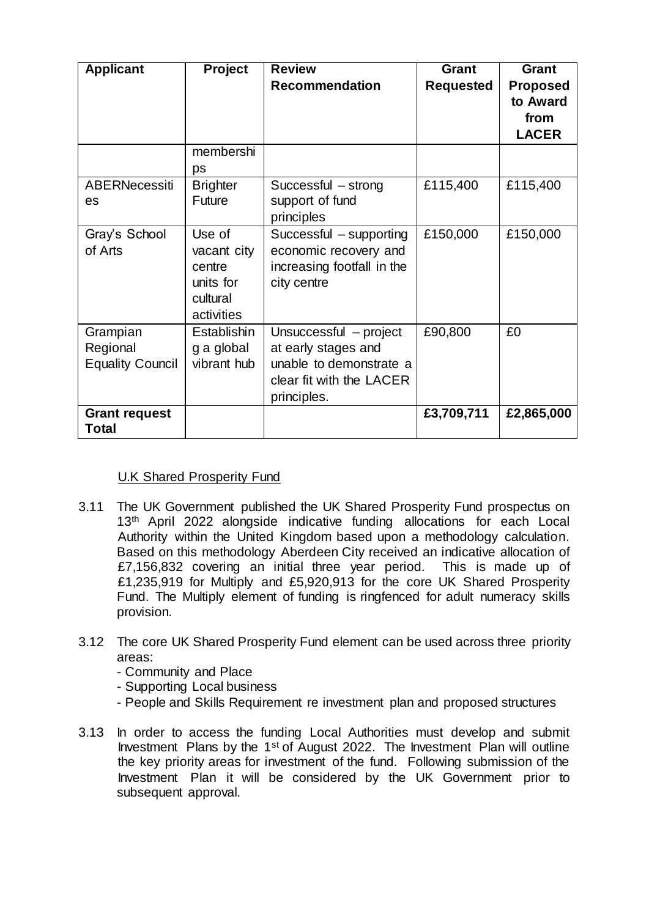| <b>Applicant</b>                                | <b>Project</b>                                                         | <b>Review</b><br><b>Recommendation</b>                                                                              | <b>Grant</b><br><b>Requested</b> | <b>Grant</b><br><b>Proposed</b><br>to Award<br>from<br><b>LACER</b> |
|-------------------------------------------------|------------------------------------------------------------------------|---------------------------------------------------------------------------------------------------------------------|----------------------------------|---------------------------------------------------------------------|
|                                                 | membershi<br>ps                                                        |                                                                                                                     |                                  |                                                                     |
| <b>ABERNecessiti</b><br>es                      | <b>Brighter</b><br>Future                                              | Successful - strong<br>support of fund<br>principles                                                                | £115,400                         | £115,400                                                            |
| Gray's School<br>of Arts                        | Use of<br>vacant city<br>centre<br>units for<br>cultural<br>activities | Successful – supporting<br>economic recovery and<br>increasing footfall in the<br>city centre                       | £150,000                         | £150,000                                                            |
| Grampian<br>Regional<br><b>Equality Council</b> | Establishin<br>g a global<br>vibrant hub                               | Unsuccessful - project<br>at early stages and<br>unable to demonstrate a<br>clear fit with the LACER<br>principles. | £90,800                          | £0                                                                  |
| <b>Grant request</b><br>Total                   |                                                                        |                                                                                                                     | £3,709,711                       | £2,865,000                                                          |

## U.K Shared Prosperity Fund

- 3.11 The UK Government published the UK Shared Prosperity Fund prospectus on 13<sup>th</sup> April 2022 alongside indicative funding allocations for each Local Authority within the United Kingdom based upon a methodology calculation. Based on this methodology Aberdeen City received an indicative allocation of £7,156,832 covering an initial three year period. This is made up of £1,235,919 for Multiply and £5,920,913 for the core UK Shared Prosperity Fund. The Multiply element of funding is ringfenced for adult numeracy skills provision.
- 3.12 The core UK Shared Prosperity Fund element can be used across three priority areas:
	- Community and Place
	- Supporting Local business
	- People and Skills Requirement re investment plan and proposed structures
- 3.13 In order to access the funding Local Authorities must develop and submit Investment Plans by the 1st of August 2022. The Investment Plan will outline the key priority areas for investment of the fund. Following submission of the Investment Plan it will be considered by the UK Government prior to subsequent approval.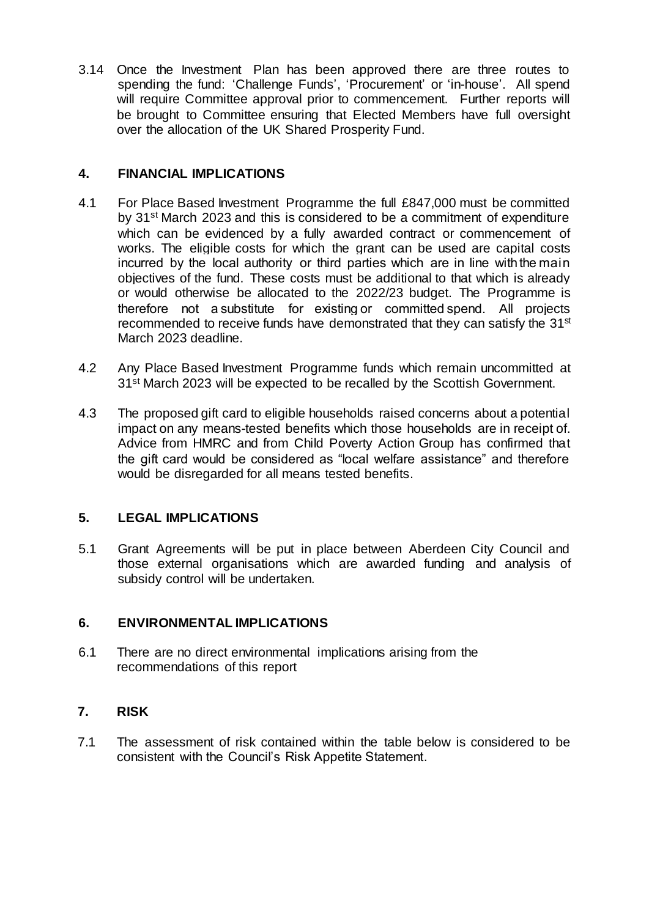3.14 Once the Investment Plan has been approved there are three routes to spending the fund: 'Challenge Funds', 'Procurement' or 'in-house'. All spend will require Committee approval prior to commencement. Further reports will be brought to Committee ensuring that Elected Members have full oversight over the allocation of the UK Shared Prosperity Fund.

#### **4. FINANCIAL IMPLICATIONS**

- 4.1 For Place Based Investment Programme the full £847,000 must be committed by 31st March 2023 and this is considered to be a commitment of expenditure which can be evidenced by a fully awarded contract or commencement of works. The eligible costs for which the grant can be used are capital costs incurred by the local authority or third parties which are in line with the main objectives of the fund. These costs must be additional to that which is already or would otherwise be allocated to the 2022/23 budget. The Programme is therefore not a substitute for existing or committed spend. All projects recommended to receive funds have demonstrated that they can satisfy the 31<sup>st</sup> March 2023 deadline.
- 4.2 Any Place Based Investment Programme funds which remain uncommitted at 31<sup>st</sup> March 2023 will be expected to be recalled by the Scottish Government.
- 4.3 The proposed gift card to eligible households raised concerns about a potential impact on any means-tested benefits which those households are in receipt of. Advice from HMRC and from Child Poverty Action Group has confirmed that the gift card would be considered as "local welfare assistance" and therefore would be disregarded for all means tested benefits.

## **5. LEGAL IMPLICATIONS**

5.1 Grant Agreements will be put in place between Aberdeen City Council and those external organisations which are awarded funding and analysis of subsidy control will be undertaken.

#### **6. ENVIRONMENTAL IMPLICATIONS**

6.1 There are no direct environmental implications arising from the recommendations of this report

## **7. RISK**

7.1 The assessment of risk contained within the table below is considered to be consistent with the Council's Risk Appetite Statement.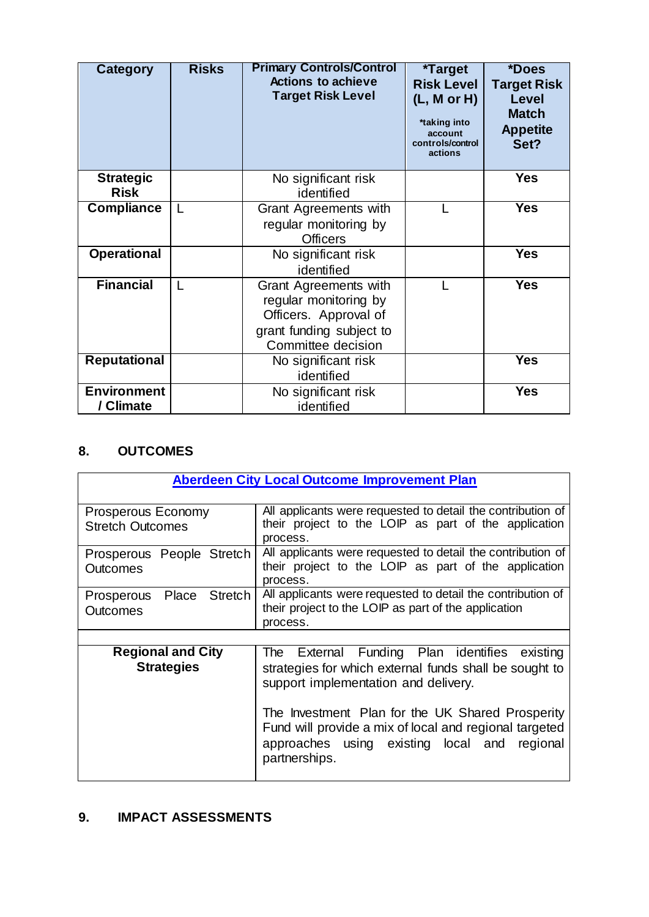| Category                        | <b>Risks</b> | <b>Primary Controls/Control</b><br><b>Actions to achieve</b><br><b>Target Risk Level</b>                                  | <i><b>*Target</b></i><br><b>Risk Level</b><br>(L, M or H)<br>*taking into<br>account<br>controls/control<br>actions | *Does<br><b>Target Risk</b><br><b>Level</b><br><b>Match</b><br><b>Appetite</b><br>Set? |
|---------------------------------|--------------|---------------------------------------------------------------------------------------------------------------------------|---------------------------------------------------------------------------------------------------------------------|----------------------------------------------------------------------------------------|
| <b>Strategic</b><br><b>Risk</b> |              | No significant risk<br>identified                                                                                         |                                                                                                                     | <b>Yes</b>                                                                             |
| <b>Compliance</b>               |              | <b>Grant Agreements with</b><br>regular monitoring by<br><b>Officers</b>                                                  |                                                                                                                     | <b>Yes</b>                                                                             |
| <b>Operational</b>              |              | No significant risk<br>identified                                                                                         |                                                                                                                     | <b>Yes</b>                                                                             |
| <b>Financial</b>                |              | Grant Agreements with<br>regular monitoring by<br>Officers. Approval of<br>grant funding subject to<br>Committee decision |                                                                                                                     | <b>Yes</b>                                                                             |
| <b>Reputational</b>             |              | No significant risk<br>identified                                                                                         |                                                                                                                     | Yes                                                                                    |
| <b>Environment</b><br>/ Climate |              | No significant risk<br>identified                                                                                         |                                                                                                                     | <b>Yes</b>                                                                             |

## **8. OUTCOMES**

|                           | <b>Aberdeen City Local Outcome Improvement Plan</b>         |
|---------------------------|-------------------------------------------------------------|
|                           |                                                             |
| Prosperous Economy        | All applicants were requested to detail the contribution of |
| <b>Stretch Outcomes</b>   | their project to the LOIP as part of the application        |
|                           | process.                                                    |
| Prosperous People Stretch | All applicants were requested to detail the contribution of |
| Outcomes                  | their project to the LOIP as part of the application        |
|                           | process.                                                    |
| Prosperous Place Stretch  | All applicants were requested to detail the contribution of |
| <b>Outcomes</b>           | their project to the LOIP as part of the application        |
|                           | process.                                                    |
|                           |                                                             |
| <b>Regional and City</b>  | The External Funding Plan identifies existing               |
| <b>Strategies</b>         | strategies for which external funds shall be sought to      |
|                           | support implementation and delivery.                        |
|                           |                                                             |
|                           |                                                             |
|                           | The Investment Plan for the UK Shared Prosperity            |
|                           | Fund will provide a mix of local and regional targeted      |
|                           | approaches using existing local and regional                |
|                           | partnerships.                                               |
|                           |                                                             |

# **9. IMPACT ASSESSMENTS**